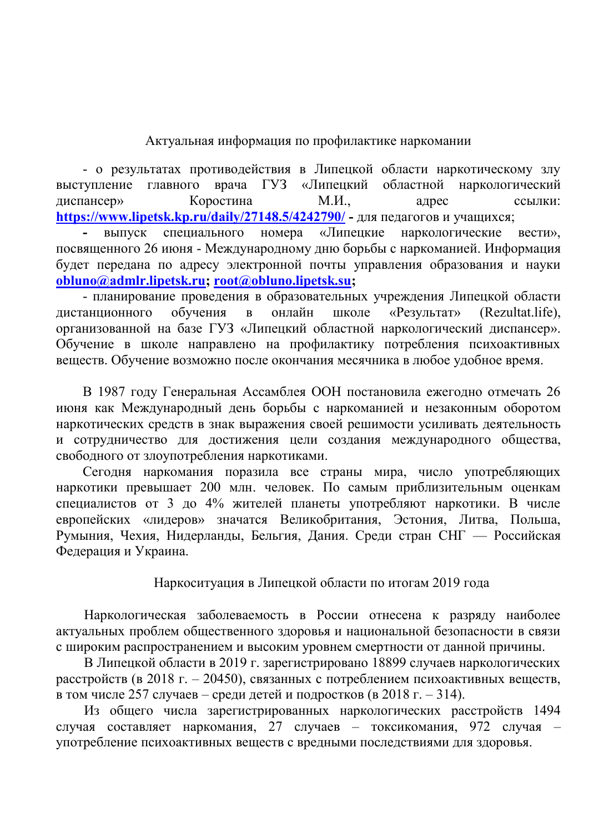## Актуальная информация по профилактике наркомании

- о результатах противодействия в Липецкой области наркотическому злу врача ГУЗ «Липецкий областной наркологический выступление главного диспансер» Коростина  $M.H.$ адрес ссылки: https://www.lipetsk.kp.ru/daily/27148.5/4242790/ - для педагогов и учащихся;

выпуск специального номера «Липецкие наркологические вести». посвященного 26 июня - Международному дню борьбы с наркоманией. Информация будет передана по адресу электронной почты управления образования и науки obluno@admlr.lipetsk.ru; root@obluno.lipetsk.su;

- планирование проведения в образовательных учреждения Липецкой области дистанционного обучения  $\overline{B}$ онлайн школе «Результат» (Rezultat.life). организованной на базе ГУЗ «Липецкий областной наркологический диспансер». Обучение в школе направлено на профилактику потребления психоактивных веществ. Обучение возможно после окончания месячника в любое удобное время.

В 1987 году Генеральная Ассамблея ООН постановила ежегодно отмечать 26 июня как Международный день борьбы с наркоманией и незаконным оборотом наркотических средств в знак выражения своей решимости усиливать деятельность и сотрудничество для достижения цели создания международного общества, свободного от злоупотребления наркотиками.

Сегодня наркомания поразила все страны мира, число употребляющих наркотики превышает 200 млн. человек. По самым приблизительным оценкам специалистов от 3 до 4% жителей планеты употребляют наркотики. В числе европейских «лидеров» значатся Великобритания, Эстония, Литва, Польша, Румыния, Чехия, Нидерланды, Бельгия, Дания. Среди стран СНГ — Российская Федерация и Украина.

## Наркоситуация в Липецкой области по итогам 2019 года

Наркологическая заболеваемость в России отнесена к разряду наиболее актуальных проблем общественного здоровья и национальной безопасности в связи с широким распространением и высоким уровнем смертности от данной причины.

В Липецкой области в 2019 г. зарегистрировано 18899 случаев наркологических расстройств (в 2018 г. – 20450), связанных с потреблением психоактивных веществ, в том числе 257 случаев – среди детей и подростков (в 2018 г. – 314).

Из общего числа зарегистрированных наркологических расстройств 1494 случая составляет наркомания, 27 случаев - токсикомания, 972 случая употребление психоактивных веществ с вредными последствиями для здоровья.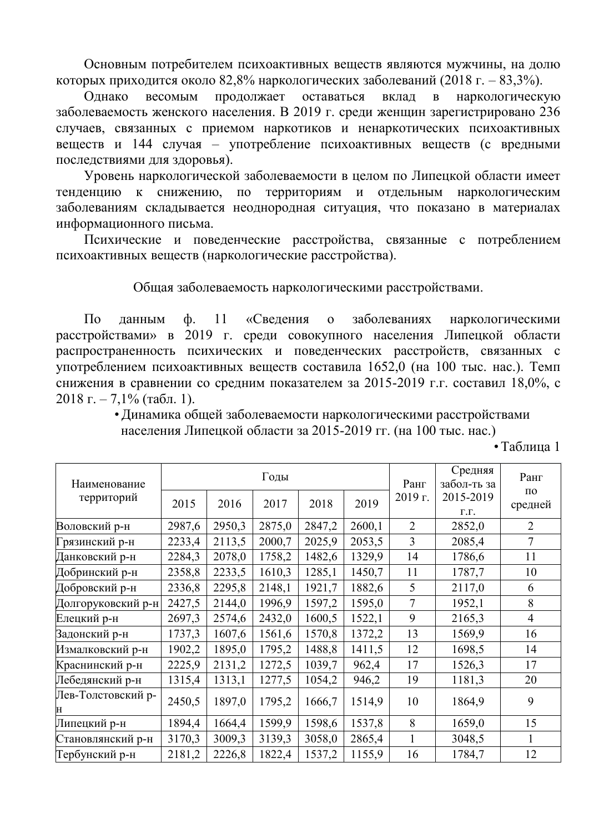Основным потребителем психоактивных веществ являются мужчины, на долю которых приходится около 82,8% наркологических заболеваний (2018 г. – 83,3%).

оставаться Однако весомым продолжает вклад  $\mathbf{B}$ наркологическую заболеваемость женского населения. В 2019 г. среди женщин зарегистрировано 236 случаев, связанных с приемом наркотиков и ненаркотических психоактивных веществ и 144 случая - употребление психоактивных веществ (с вредными последствиями для здоровья).

Уровень наркологической заболеваемости в целом по Липецкой области имеет по территориям и отдельным тенденцию к снижению, наркологическим заболеваниям складывается неоднородная ситуация, что показано в материалах информационного письма.

Психические и поведенческие расстройства, связанные с потреблением психоактивных вешеств (наркологические расстройства).

Общая заболеваемость наркологическими расстройствами.

 $\Pi$ <sub>o</sub> 11 «Сведения  $\mathbf{o}$ заболеваниях ланным ф. наркологическими расстройствами» в 2019 г. среди совокупного населения Липецкой области распространенность психических и поведенческих расстройств, связанных с употреблением психоактивных веществ составила 1652,0 (на 100 тыс. нас.). Темп снижения в сравнении со средним показателем за 2015-2019 г.г. составил 18,0%, с 2018 г. – 7,1% (табл. 1).

> • Динамика общей заболеваемости наркологическими расстройствами населения Липецкой области за 2015-2019 гг. (на 100 тыс. нас.)

> > • Таблица 1

| Наименование<br>территорий |        |                              | Годы   | Ранг<br>2019 г. | Средняя<br>забол-ть за<br>2015-2019 | Ранг<br>$\Pi$ <sup>O</sup> |        |                |
|----------------------------|--------|------------------------------|--------|-----------------|-------------------------------------|----------------------------|--------|----------------|
|                            | 2015   | 2019<br>2018<br>2016<br>2017 |        | Г.Г.            | средней                             |                            |        |                |
| Воловский р-н              | 2987,6 | 2950,3                       | 2875,0 | 2847,2          | 2600,1                              | $\overline{2}$             | 2852,0 | $\overline{2}$ |
| Грязинский р-н             | 2233,4 | 2113,5                       | 2000,7 | 2025,9          | 2053,5                              | 3                          | 2085,4 | $\overline{7}$ |
| Данковский р-н             | 2284,3 | 2078,0                       | 1758,2 | 1482,6          | 1329,9                              | 14                         | 1786,6 | 11             |
| Добринский р-н             | 2358,8 | 2233,5                       | 1610,3 | 1285,1          | 1450,7                              | 11                         | 1787,7 | 10             |
| Добровский р-н             | 2336,8 | 2295,8                       | 2148,1 | 1921,7          | 1882,6                              | 5                          | 2117,0 | 6              |
| Долгоруковский р-н         | 2427,5 | 2144,0                       | 1996,9 | 1597,2          | 1595,0                              | $\overline{7}$             | 1952,1 | 8              |
| Елецкий р-н                | 2697,3 | 2574,6                       | 2432,0 | 1600,5          | 1522,1                              | 9                          | 2165,3 | $\overline{4}$ |
| Задонский р-н              | 1737,3 | 1607,6                       | 1561,6 | 1570,8          | 1372,2                              | 13                         | 1569,9 | 16             |
| Измалковский р-н           | 1902,2 | 1895,0                       | 1795,2 | 1488,8          | 1411,5                              | 12                         | 1698,5 | 14             |
| Краснинский р-н            | 2225,9 | 2131,2                       | 1272,5 | 1039,7          | 962,4                               | 17                         | 1526,3 | 17             |
| Лебедянский р-н            | 1315,4 | 1313,1                       | 1277,5 | 1054,2          | 946,2                               | 19                         | 1181,3 | 20             |
| Лев-Толстовский р-<br>Н    | 2450,5 | 1897,0                       | 1795,2 | 1666,7          | 1514,9                              | 10                         | 1864,9 | 9              |
| Липецкий р-н               | 1894,4 | 1664,4                       | 1599,9 | 1598,6          | 1537,8                              | 8                          | 1659,0 | 15             |
| Становлянский р-н          | 3170,3 | 3009,3                       | 3139,3 | 3058,0          | 2865,4                              | $\mathbf{1}$               | 3048,5 | $\mathbf{1}$   |
| Тербунский р-н             | 2181,2 | 2226,8                       | 1822,4 | 1537,2          | 1155,9                              | 16                         | 1784,7 | 12             |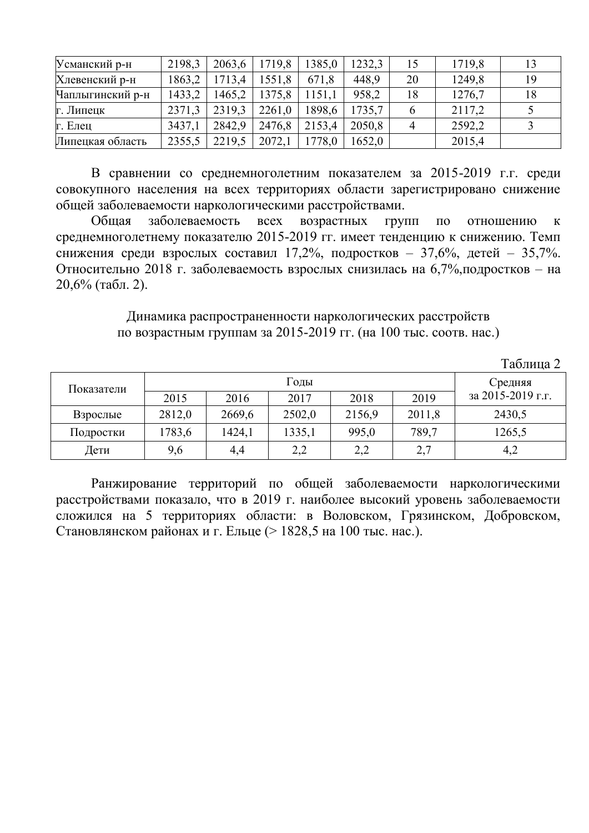| Усманский р-н    | 2198,3 | 2063,6 | 1719,8 | 1385,0 | 1232,3 | 15 | 1719,8 | 13 |
|------------------|--------|--------|--------|--------|--------|----|--------|----|
| Хлевенский р-н   | 1863,2 | 1713,4 | 1551,8 | 671,8  | 448,9  | 20 | 1249,8 | 19 |
| Чаплыгинский р-н | 1433,2 | 1465,2 | 1375,8 | 1151,1 | 958,2  | 18 | 1276,7 | 18 |
| г. Липецк        | 2371,3 | 2319.3 | 2261,0 | 1898,6 | 1735,7 |    | 2117,2 |    |
| г. Елец          | 3437,1 | 2842,9 | 2476,8 | 2153,4 | 2050,8 | 4  | 2592,2 |    |
| Липецкая область | 2355,5 | 2219,5 | 2072,1 | 1778,0 | 1652.0 |    | 2015,4 |    |

В сравнении со среднемноголетним показателем за 2015-2019 г.г. среди совокупного населения на всех территориях области зарегистрировано снижение общей заболеваемости наркологическими расстройствами.

заболеваемость возрастных Групп Обшая **BCCX**  $\Pi$ <sup>O</sup> отношению  $\mathbf{K}$ среднемноголетнему показателю 2015-2019 гг. имеет тенденцию к снижению. Темп снижения среди взрослых составил 17,2%, подростков - 37,6%, детей - 35,7%. Относительно 2018 г. заболеваемость взрослых снизилась на 6,7%, подростков - на 20,6% (табл. 2).

> Динамика распространенности наркологических расстройств по возрастным группам за 2015-2019 гг. (на 100 тыс. соотв. нас.)

| 10011114   |        |         |        |        |        |                   |  |  |  |
|------------|--------|---------|--------|--------|--------|-------------------|--|--|--|
| Показатели |        | Средняя |        |        |        |                   |  |  |  |
|            | 2015   | 2016    | 2017   | 2018   | 2019   | за 2015-2019 г.г. |  |  |  |
| Взрослые   | 2812,0 | 2669,6  | 2502,0 | 2156,9 | 2011,8 | 2430,5            |  |  |  |
| Подростки  | 1783,6 | 1424,1  | 1335,1 | 995,0  | 789,7  | 1265,5            |  |  |  |
| Дети       | 9,6    | 4,4     | 2,2    | 2,2    | 2,7    | 4,2               |  |  |  |

Ранжирование территорий по общей заболеваемости наркологическими расстройствами показало, что в 2019 г. наиболее высокий уровень заболеваемости сложился на 5 территориях области: в Воловском, Грязинском, Добровском, Становлянском районах и г. Ельце (> 1828,5 на 100 тыс. нас.).

 $Ta6\pi$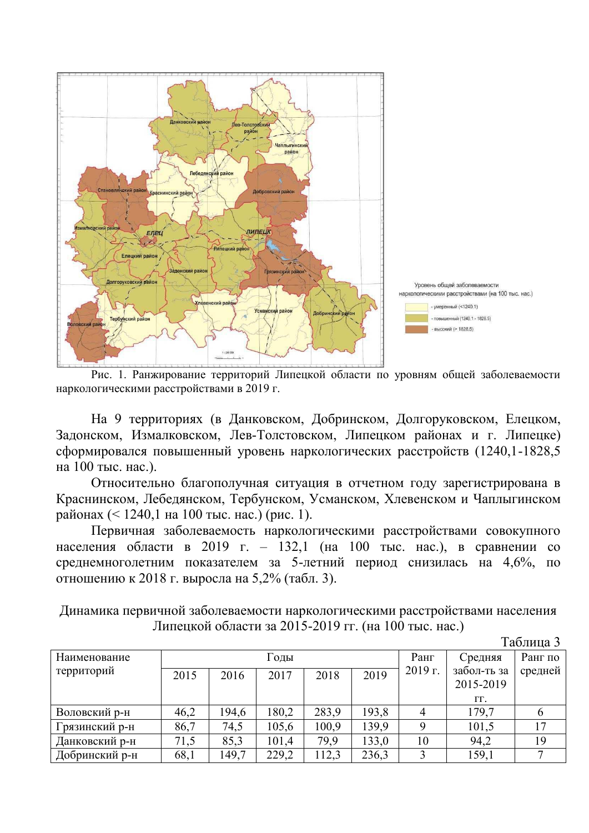

Рис. 1. Ранжирование территорий Липецкой области по уровням общей заболеваемости наркологическими расстройствами в 2019 г.

На 9 территориях (в Данковском, Добринском, Долгоруковском, Елецком, Задонском, Измалковском, Лев-Толстовском, Липецком районах и г. Липецке) сформировался повышенный уровень наркологических расстройств (1240,1-1828,5 на 100 тыс. нас.).

Относительно благополучная ситуация в отчетном году зарегистрирована в Краснинском, Лебедянском, Тербунском, Усманском, Хлевенском и Чаплыгинском районах (< 1240,1 на 100 тыс. нас.) (рис. 1).

Первичная заболеваемость наркологическими расстройствами совокупного населения области в 2019 г. – 132,1 (на 100 тыс. нас.), в сравнении со среднемноголетним показателем за 5-летний период снизилась на 4,6%, по отношению к 2018 г. выросла на 5,2% (табл. 3).

| Динамика первичной заболеваемости наркологическими расстройствами населения |  |
|-----------------------------------------------------------------------------|--|
| Липецкой области за 2015-2019 гг. (на 100 тыс. нас.)                        |  |
| $T_0$ $\sigma$ $\pi$                                                        |  |

|                |      |       |       |       |         |           |                  | таблица э |
|----------------|------|-------|-------|-------|---------|-----------|------------------|-----------|
| Наименование   |      |       | Годы  | Ранг  | Средняя | Ранг по   |                  |           |
| территорий     | 2015 | 2016  | 2017  | 2018  | 2019    | $2019$ г. | забол-ть за      | средней   |
|                |      |       |       |       |         |           | 2015-2019        |           |
|                |      |       |       |       |         |           | $\Gamma\Gamma$ . |           |
| Воловский р-н  | 46,2 | 194,6 | 180,2 | 283,9 | 193,8   |           | 179,7            |           |
| Грязинский р-н | 86,7 | 74,5  | 105,6 | 100,9 | 139,9   | 9         | 101,5            |           |
| Данковский р-н | 71,5 | 85,3  | 101,4 | 79,9  | 133,0   | 10        | 94,2             | 19        |
| Добринский р-н | 68,1 | 149,7 | 229,2 | 112,3 | 236,3   |           | 159,1            |           |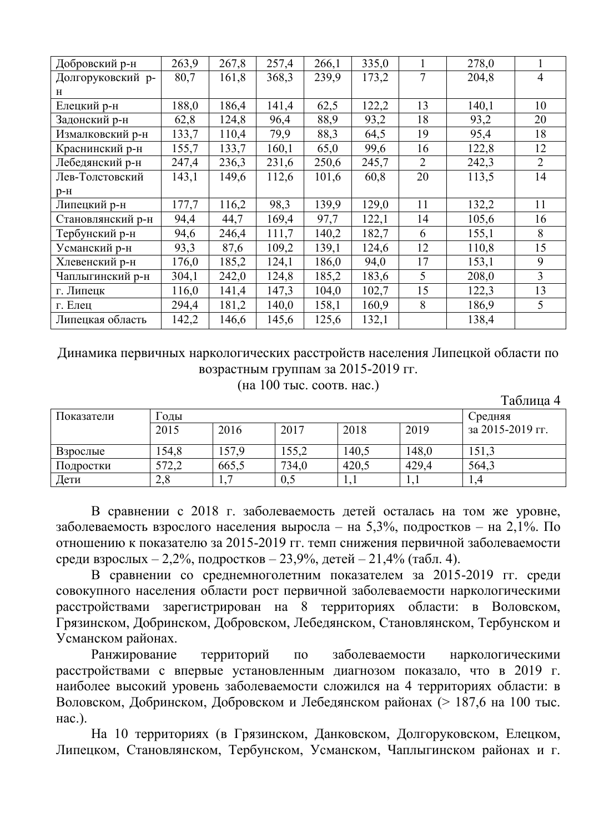| Добровский р-н    | 263,9 | 267,8 | 257,4 | 266,1 | 335,0 | 1              | 278,0 |                |
|-------------------|-------|-------|-------|-------|-------|----------------|-------|----------------|
| Долгоруковский р- | 80,7  | 161,8 | 368,3 | 239,9 | 173,2 | 7              | 204,8 | $\overline{4}$ |
| н                 |       |       |       |       |       |                |       |                |
| Елецкий р-н       | 188,0 | 186,4 | 141,4 | 62,5  | 122,2 | 13             | 140,1 | 10             |
| Задонский р-н     | 62,8  | 124,8 | 96,4  | 88,9  | 93,2  | 18             | 93,2  | 20             |
| Измалковский р-н  | 133,7 | 110,4 | 79,9  | 88,3  | 64,5  | 19             | 95,4  | 18             |
| Краснинский р-н   | 155,7 | 133,7 | 160,1 | 65,0  | 99,6  | 16             | 122,8 | 12             |
| Лебедянский р-н   | 247,4 | 236,3 | 231,6 | 250,6 | 245,7 | $\overline{2}$ | 242,3 | $\overline{2}$ |
| Лев-Толстовский   | 143,1 | 149,6 | 112,6 | 101,6 | 60,8  | 20             | 113,5 | 14             |
| $p-H$             |       |       |       |       |       |                |       |                |
| Липецкий р-н      | 177,7 | 116,2 | 98,3  | 139,9 | 129,0 | 11             | 132,2 | 11             |
| Становлянский р-н | 94,4  | 44,7  | 169,4 | 97,7  | 122,1 | 14             | 105,6 | 16             |
| Тербунский р-н    | 94,6  | 246,4 | 111,7 | 140,2 | 182,7 | 6              | 155,1 | 8              |
| Усманский р-н     | 93,3  | 87,6  | 109,2 | 139,1 | 124,6 | 12             | 110,8 | 15             |
| Хлевенский р-н    | 176,0 | 185,2 | 124,1 | 186,0 | 94,0  | 17             | 153,1 | 9              |
| Чаплыгинский р-н  | 304,1 | 242,0 | 124,8 | 185,2 | 183,6 | 5              | 208,0 | 3              |
| г. Липецк         | 116,0 | 141,4 | 147,3 | 104,0 | 102,7 | 15             | 122,3 | 13             |
| г. Елец           | 294,4 | 181,2 | 140,0 | 158,1 | 160,9 | 8              | 186,9 | 5              |
| Липецкая область  | 142,2 | 146,6 | 145,6 | 125,6 | 132,1 |                | 138,4 |                |

Динамика первичных наркологических расстройств населения Липецкой области по возрастным группам за 2015-2019 гг.

(на 100 тыс. соотв. нас.)

Таблица 4

| Показатели | Годы  | Средняя   |       |            |       |                  |
|------------|-------|-----------|-------|------------|-------|------------------|
|            | 2015  | 2016      | 2017  | 2018       | 2019  | за 2015-2019 гг. |
| Взрослые   | 54,8  | 157,9     | 155,2 | 140,5      | 148,0 | 151,3            |
| Подростки  | 572,2 | 665,5     | 734,0 | 420,5      | 429.4 | 564,3            |
| Дети       | 2,8   | <b>LA</b> | 0,5   | <b>1,1</b> | 1,1   | 1.4              |

В сравнении с 2018 г. заболеваемость детей осталась на том же уровне, заболеваемость взрослого населения выросла – на 5,3%, подростков – на 2,1%. По отношению к показателю за 2015-2019 гг. темп снижения первичной заболеваемости среди взрослых - 2,2%, подростков - 23,9%, детей - 21,4% (табл. 4).

В сравнении со среднемноголетним показателем за 2015-2019 гг. среди совокупного населения области рост первичной заболеваемости наркологическими расстройствами зарегистрирован на 8 территориях области: в Воловском, Грязинском, Добринском, Добровском, Лебедянском, Становлянском, Тербунском и Усманском районах.

Ранжирование территорий  $\Pi$ <sup>O</sup> заболеваемости наркологическими расстройствами с впервые установленным диагнозом показало, что в 2019 г. наиболее высокий уровень заболеваемости сложился на 4 территориях области: в Воловском, Добринском, Добровском и Лебедянском районах (> 187,6 на 100 тыс. нас.).

На 10 территориях (в Грязинском, Данковском, Долгоруковском, Елецком, Липецком, Становлянском, Тербунском, Усманском, Чаплыгинском районах и г.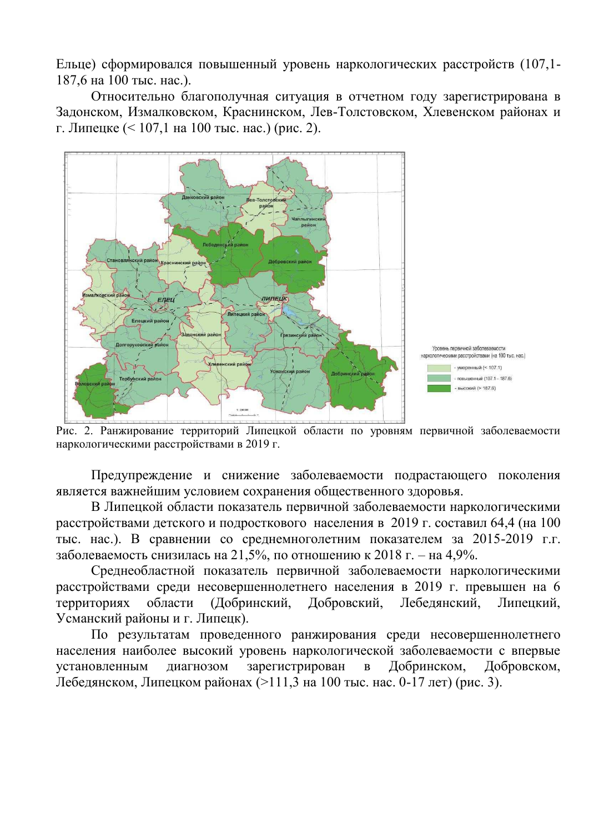Ельце) сформировался повышенный уровень наркологических расстройств (107,1-187,6 на 100 тыс. нас.).

Относительно благополучная ситуация в отчетном году зарегистрирована в Задонском, Измалковском, Краснинском, Лев-Толстовском, Хлевенском районах и г. Липецке  $(< 107.1$  на 100 тыс. нас.) (рис. 2).



Рис. 2. Ранжирование территорий Липецкой области по уровням первичной заболеваемости наркологическими расстройствами в 2019 г.

Предупреждение и снижение заболеваемости подрастающего поколения является важнейшим условием сохранения общественного здоровья.

В Липецкой области показатель первичной заболеваемости наркологическими расстройствами детского и подросткового населения в 2019 г. составил 64,4 (на 100 тыс. нас.). В сравнении со среднемноголетним показателем за 2015-2019 г.г. заболеваемость снизилась на 21,5%, по отношению к 2018 г. – на 4,9%.

Среднеобластной показатель первичной заболеваемости наркологическими расстройствами среди несовершеннолетнего населения в 2019 г. превышен на 6 территориях области (Добринский, Добровский. Лебелянский. Липенкий. Усманский районы и г. Липецк).

По результатам проведенного ранжирования среди несовершеннолетнего населения наиболее высокий уровень наркологической заболеваемости с впервые зарегистрирован  $\overline{B}$ Добринском, Добровском, установленным диагнозом Лебедянском, Липецком районах (>111,3 на 100 тыс. нас. 0-17 лет) (рис. 3).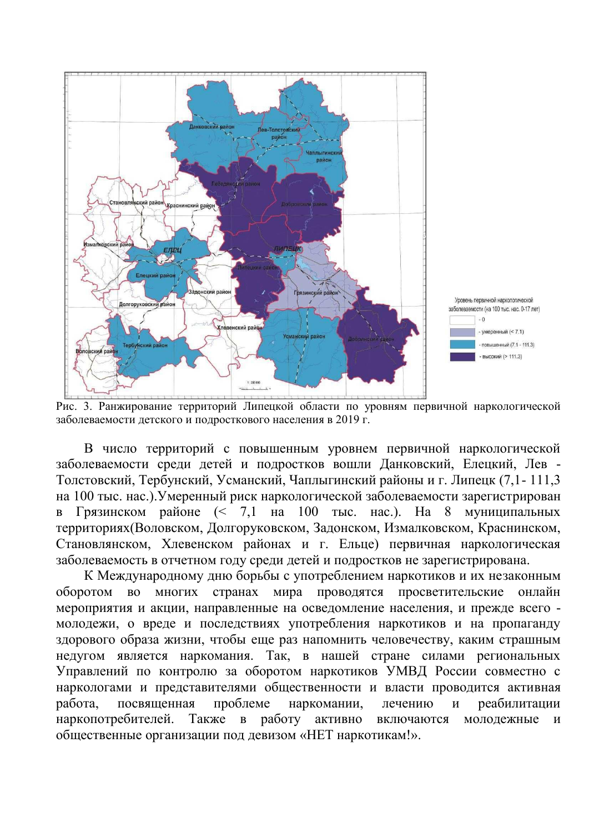

Рис. 3. Ранжирование территорий Липецкой области по уровням первичной наркологической заболеваемости детского и подросткового населения в 2019 г.

В число территорий с повышенным уровнем первичной наркологической заболеваемости среди детей и подростков вошли Данковский, Елецкий, Лев -Толстовский, Тербунский, Усманский, Чаплыгинский районы и г. Липецк (7,1-111,3 на 100 тыс. нас.). Умеренный риск наркологической заболеваемости зарегистрирован Грязинском районе  $\approx$  7,1 на 100 тыс. нас.). На 8 муниципальных  $\overline{R}$ территориях(Воловском, Долгоруковском, Задонском, Измалковском, Краснинском, Становлянском, Хлевенском районах и г. Ельце) первичная наркологическая заболеваемость в отчетном году среди детей и подростков не зарегистрирована.

К Международному дню борьбы с употреблением наркотиков и их незаконным оборотом во многих странах мира проводятся просветительские онлайн мероприятия и акции, направленные на осведомление населения, и прежде всего молодежи, о вреде и последствиях употребления наркотиков и на пропаганду здорового образа жизни, чтобы еще раз напомнить человечеству, каким страшным недугом является наркомания. Так, в нашей стране силами региональных Управлений по контролю за оборотом наркотиков УМВД России совместно с наркологами и представителями общественности и власти проводится активная проблеме работа, посвященная наркомании, лечению реабилитации  $\overline{M}$ Также наркопотребителей. в работу активно включаются молодежные  $\overline{M}$ общественные организации под девизом «НЕТ наркотикам!».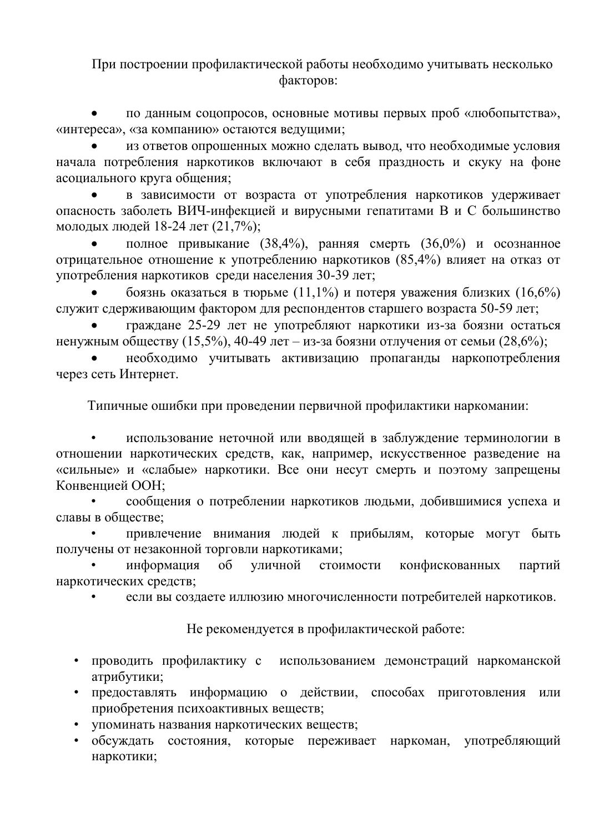При построении профилактической работы необходимо учитывать несколько факторов:

по данным соцопросов, основные мотивы первых проб «любопытства». «интереса», «за компанию» остаются ведущими;

из ответов опрошенных можно сделать вывод, что необходимые условия начала потребления наркотиков включают в себя праздность и скуку на фоне асоциального круга общения;

в зависимости от возраста от употребления наркотиков удерживает опасность заболеть ВИЧ-инфекцией и вирусными гепатитами В и С большинство молодых людей 18-24 лет (21,7%);

полное привыкание (38,4%), ранняя смерть (36,0%) и осознанное отрицательное отношение к употреблению наркотиков (85,4%) влияет на отказ от употребления наркотиков среди населения 30-39 лет;

боязнь оказаться в тюрьме (11,1%) и потеря уважения близких (16,6%) служит сдерживающим фактором для респондентов старшего возраста 50-59 лет;

граждане 25-29 лет не употребляют наркотики из-за боязни остаться ненужным обществу (15,5%), 40-49 лет – из-за боязни отлучения от семьи (28,6%);

необходимо учитывать активизацию пропаганды наркопотребления через сеть Интернет.

Типичные ошибки при проведении первичной профилактики наркомании:

использование неточной или вводящей в заблуждение терминологии в отношении наркотических средств, как, например, искусственное разведение на «сильные» и «слабые» наркотики. Все они несут смерть и поэтому запрещены Конвенцией ООН:

сообщения о потреблении наркотиков людьми, добившимися успеха и славы в обществе:

привлечение внимания людей к прибылям, которые могут быть получены от незаконной торговли наркотиками;

информация  $\overline{00}$ уличной стоимости конфискованных партий наркотических средств;

если вы создаете иллюзию многочисленности потребителей наркотиков.

Не рекомендуется в профилактической работе:

- проводить профилактику с использованием демонстраций наркоманской  $\bullet$ атрибутики;
- предоставлять информацию о действии, способах приготовления  $\bullet$ ИЛИ приобретения психоактивных веществ;
- упоминать названия наркотических веществ;
- обсуждать состояния, которые переживает наркоман, употребляющий наркотики;